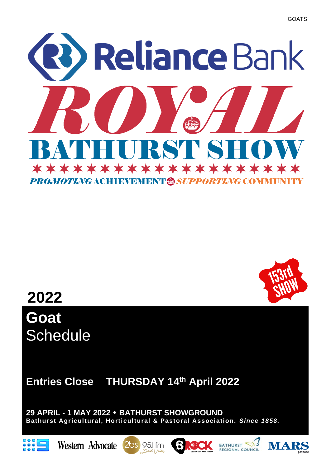



**Goat Schedule** 

**Entries Close THURSDAY 14 th April 2022**

**29 APRIL - 1 MAY 2022 BATHURST SHOWGROUND Bathurst Agricultural, Horticultural & Pastoral Association.** *Since 1858.*











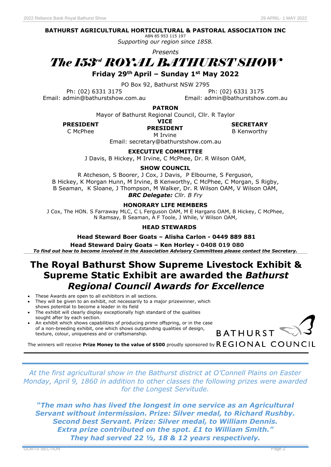#### **BATHURST AGRICULTURAL HORTICULTURAL & PASTORAL ASSOCIATION INC**

ABN 85 953 115 197 *Supporting our region since 1858.*

*Presents*

# *The 153 rd ROYAL BATHURST SHOW*

**Friday 29th April – Sunday 1st May 2022**

PO Box 92, Bathurst NSW 2795

Ph: (02) 6331 3175 Ph: (02) 6331 3175 Email: admin@bathurstshow.com.au Email: admin@bathurstshow.com.au

**PATRON**

Mayor of Bathurst Regional Council, Cllr. R Taylor

**PRESIDENT SECRETARY**

**VICE PRESIDENT**

C McPhee **B** Kenworthy

M Irvine Email: secretary@bathurstshow.com.au

**EXECUTIVE COMMITTEE**

J Davis, B Hickey, M Irvine, C McPhee, Dr. R Wilson OAM,

**SHOW COUNCIL**

R Atcheson, S Boorer, J Cox, J Davis, P Elbourne, S Ferguson, B Hickey, K Morgan Hunn, M Irvine, B Kenworthy, C McPhee, C Morgan, S Rigby, B Seaman, K Sloane, J Thompson, M Walker, Dr. R Wilson OAM, V Wilson OAM, *BRC Delegate: Cllr. B Fry*

#### **HONORARY LIFE MEMBERS**

J Cox, The HON. S Farraway MLC, C L Ferguson OAM, M E Hargans OAM, B Hickey, C McPhee, N Ramsay, B Seaman, A F Toole, J While, V Wilson OAM,

#### **HEAD STEWARDS**

#### **Head Steward Boer Goats – Alisha Carlon - 0449 889 881**

 **Head Steward Dairy Goats – Ken Horley - 0408 019 080** *To find out how to become involved in the Association Advisory Committees please contact the Secretary.*

### **The Royal Bathurst Show Supreme Livestock Exhibit & Supreme Static Exhibit are awarded the** *Bathurst Regional Council Awards for Excellence*

- These Awards are open to all exhibitors in all sections.
- They will be given to an exhibit, not necessarily to a major prizewinner, which shows potential to become a leader in its field
- The exhibit will clearly display exceptionally high standard of the qualities sought after by each section.
- An exhibit which shows capabilities of producing prime offspring, or in the case of a non-breeding exhibit, one which shows outstanding qualities of design, texture, colour, uniqueness and or craftsmanship.



The winners will receive Prize Money to the value of \$500 proudly sponsored by  $REGIONAL<sup>C</sup>ONAL$ 

*At the first agricultural show in the Bathurst district at O'Connell Plains on Easter Monday, April 9, 1860 in addition to other classes the following prizes were awarded for the Longest Servitude.*

*"The man who has lived the longest in one service as an Agricultural Servant without intermission. Prize: Silver medal, to Richard Rushby. Second best Servant. Prize: Silver medal, to William Dennis. Extra prize contributed on the spot. £1 to William Smith." They had served 22 ½, 18 & 12 years respectively.*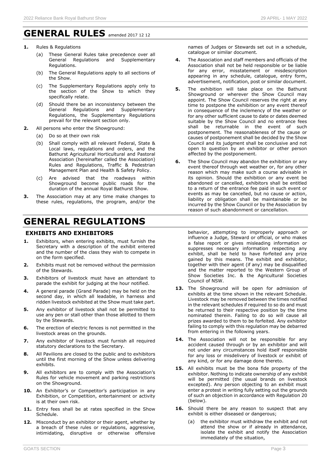- **1.** Rules & Regulations
	- (a) These General Rules take precedence over all<br>General Regulations and Supplementary Regulations and Supplementary Regulations.
	- (b) The General Regulations apply to all sections of the Show.
	- (c) The Supplementary Regulations apply only to the section of the Show to which they specifically relate.
	- (d) Should there be an inconsistency between the General Regulations and Supplementary Regulations, the Supplementary Regulations prevail for the relevant section only.
- **2.** All persons who enter the Showground:
	- (a) Do so at their own risk
	- (b) Shall comply with all relevant Federal, State & Local laws, regulations and orders, and the Bathurst Agricultural Horticultural and Pastoral Association (hereinafter called the Association) Rules and Regulations, Traffic & Pedestrian Management Plan and Health & Safety Policy.
	- (c) Are advised that the roadways within Showground become public roads for the duration of the annual Royal Bathurst Show.
- **3.** The Association may at any time make changes to these rules, regulations, the program, and/or the

### **GENERAL REGULATIONS**

#### **EXHIBITS AND EXHIBITORS**

- **1.** Exhibitors, when entering exhibits, must furnish the Secretary with a description of the exhibit entered and the number of the class they wish to compete in on the form specified.
- **2.** Exhibits must not be removed without the permission of the Stewards.
- **3.** Exhibitors of livestock must have an attendant to parade the exhibit for judging at the hour notified.
- **4.** A general parade (Grand Parade) may be held on the second day, in which all leadable, in harness and ridden livestock exhibited at the Show must take part.
- **5.** Any exhibitor of livestock shall not be permitted to use any pen or stall other than those allotted to them by the Stewards.
- **6.** The erection of electric fences is not permitted in the livestock areas on the grounds.
- **7.** Any exhibitor of livestock must furnish all required statutory declarations to the Secretary.
- **8.** All Pavilions are closed to the public and to exhibitors until the first morning of the Show unless delivering exhibits.
- **9.** All exhibitors are to comply with the Association's Rules for vehicle movement and parking restrictions on the Showground.
- **10.** An Exhibitor's or Competitor's participation in any Exhibition, or Competition, entertainment or activity is at their own risk.
- 11. Entry fees shall be at rates specified in the Show Schedule.
- **12.** Misconduct by an exhibitor or their agent, whether by a breach of these rules or regulations, aggressive, intimidating, disruptive or otherwise offensive

names of Judges or Stewards set out in a schedule, catalogue or similar document.

- **4.** The Association and staff members and officials of the Association shall not be held responsible or be liable for any error, misstatement or misdescription appearing in any schedule, catalogue, entry form, advertisement, notification, post or similar document.
- **5.** The exhibition will take place on the Bathurst Showground or wherever the Show Council may appoint. The Show Council reserves the right at any time to postpone the exhibition or any event thereof in consequence of the inclemency of the weather or for any other sufficient cause to date or dates deemed suitable by the Show Council and no entrance fees shall be returnable in the event of such postponement. The reasonableness of the cause or causes of postponement shall be decided by the Show Council and its judgment shall be conclusive and not open to question by an exhibitor or other person affected by the postponement.
- **6.** The Show Council may abandon the exhibition or any event thereof through wet weather or, for any other reason which may make such a course advisable in its opinion. Should the exhibition or any event be abandoned or cancelled, exhibitors shall be entitled to a return of the entrance fee paid in such event or events as may be cancelled, but no cause or action, liability or obligation shall be maintainable or be incurred by the Show Council or by the Association by reason of such abandonment or cancellation.

behavior, attempting to improperly approach or influence a Judge, Steward or official, or who makes a false report or gives misleading information or suppresses necessary information respecting any exhibit, shall be held to have forfeited any prize gained by this means. The exhibit and exhibitor, together with their agent (if any) may be disqualified and the matter reported to the Western Group of Show Societies Inc. & the Agricultural Societies Council of NSW.

- 13. The Showground will be open for admission of exhibits at the time shown in the relevant Schedule. Livestock may be removed between the times notified in the relevant schedules if required to so do and must be returned to their respective position by the time nominated therein. Failing to do so will cause all prizes awarded to them to be forfeited. Any exhibitor failing to comply with this regulation may be debarred from entering in the following years.
- 14. The Association will not be responsible for any accident caused through or by an exhibitor and will not under any circumstances hold itself responsible for any loss or misdelivery of livestock or exhibit of any kind, or for any damage done thereto.
- **15.** All exhibits must be the bona fide property of the exhibitor. Nothing to indicate ownership of any exhibit will be permitted (the usual brands on livestock excepted). Any person objecting to an exhibit must enter a protest in writing fully setting out the grounds of such an objection in accordance with Regulation 20 (below).
- 16. Should there be any reason to suspect that any exhibit is either diseased or dangerous;
	- the exhibitor must withdraw the exhibit and not attend the show or if already in attendance, isolate the exhibit and notify the Association immediately of the situation,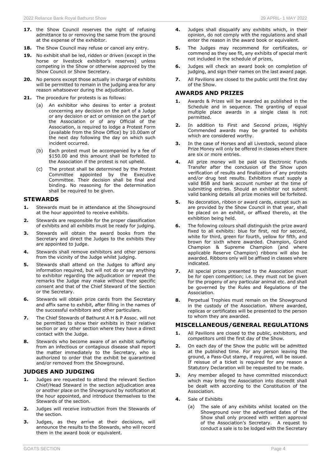- **17.** the Show Council reserves the right of refusing admittance to or removing the same from the ground at the expense of the exhibitor.
- **18.** The Show Council may refuse or cancel any entry.
- **19.** No exhibit shall be led, ridden or driven (except in the horse or livestock exhibitor's reserves) unless competing in the Show or otherwise approved by the Show Council or Show Secretary.
- **20.** No persons except those actually in charge of exhibits will be permitted to remain in the judging area for any reason whatsoever during the adjudication.
- **21.** The procedure for protests is as follows:
	- (a) An exhibitor who desires to enter a protest concerning any decision on the part of a Judge or any decision or act or omission on the part of the Association or of any Official of the Association, is required to lodge a Protest Form (available from the Show Office) by 10.00am of the next day following the day on which such incident occurred.
	- (b) Each protest must be accompanied by a fee of \$150.00 and this amount shall be forfeited to the Association if the protest is not upheld.
	- (c) The protest shall be determined by the Protest Committee appointed by the Executive Committee. Their decision shall be final and binding. No reasoning for the determination shall be required to be given.

#### **STEWARDS**

- **1.** Stewards must be in attendance at the Showground at the hour appointed to receive exhibits.
- **2.** Stewards are responsible for the proper classification of exhibits and all exhibits must be ready for judging.
- **3.** Stewards will obtain the award books from the Secretary and direct the Judges to the exhibits they are appointed to judge.
- **4.** Stewards shall remove exhibitors and other persons from the vicinity of the Judge whilst judging.
- **5.** Stewards shall attend on the Judges to afford any information required, but will not do or say anything to exhibitor regarding the adjudication or repeat the remarks the Judge may make without their specific consent and that of the Chief Steward of the Section or the Secretary.
- **6.** Stewards will obtain prize cards from the Secretary and affix same to exhibit, after filling in the names of the successful exhibitors and other particulars.
- **7.** The Chief Stewards of Bathurst A H & P Assoc. will not be permitted to show their exhibits in their relative section or any other section where they have a direct contact with the Judge.
- **8.** Stewards who become aware of an exhibit suffering from an infectious or contagious disease shall report the matter immediately to the Secretary, who is authorized to order that the exhibit be quarantined and/or removed from the Showground.

#### **JUDGES AND JUDGING**

- **1.** Judges are requested to attend the relevant Section Chief/Head Steward in the section adjudication area or another place on the Showground by notification at the hour appointed, and introduce themselves to the Stewards of the section.
- **2.** Judges will receive instruction from the Stewards of the section.
- **3.** Judges, as they arrive at their decisions, will announce the results to the Stewards, who will record them in the award book or equivalent.
- **4.** Judges shall disqualify any exhibits which, in their opinion, do not comply with the regulations and shall enter the reason in the award book or equivalent.
- **5.** The Judges may recommend for certificates, or commend as they see fit, any exhibits of special merit not included in the schedule of prizes,
- **6.** Judges will check an award book on completion of judging, and sign their names on the last award page.
- **7.** All Pavilions are closed to the public until the first day of the Show.

#### **AWARDS AND PRIZES**

- **1.** Awards & Prizes will be awarded as published in the Schedule and in sequence. The granting of equal multiple place awards in a single class is not permitted.
- **2.** In addition to First and Second prizes, Highly Commended awards may be granted to exhibits which are considered worthy.
- **3.** In the case of Horses and all Livestock, second place Prize Money will only be offered in classes where there are six or more entries.
- **4.** All prize money will be paid via Electronic Funds Transfer after the conclusion of the Show upon verification of results and finalization of any protests and/or drug test results. Exhibitors must supply a valid BSB and bank account number at the time of submitting entries. Should an exhibitor not submit valid banking details all prize monies will be forfeited.
- **5.** No decoration, ribbon or award cards, except such as are provided by the Show Council in that year, shall be placed on an exhibit, or affixed thereto, at the exhibition being held.
- **6.** The following colours shall distinguish the prize award fixed to all exhibits: blue for first, red for second, white for third, green for fourth, yellow for fifth, and brown for sixth where awarded. Champion, Grand Champion & Supreme Champion (and where applicable Reserve Champion) ribbons will also be awarded. Ribbons only will be affixed in classes where indicated.
- **7.** All special prizes presented to the Association must be for open competition; i.e. they must not be given for the progeny of any particular animal etc. and shall be governed by the Rules and Regulations of the Association.
- **8.** Perpetual Trophies must remain on the Showground in the custody of the Association. Where awarded, replicas or certificates will be presented to the person to whom they are awarded.

#### **MISCELLANEOUS/GENERAL REGULATIONS**

- **1.** All Pavilions are closed to the public, exhibitors, and competitors until the first day of the Show.
- **2.** On each day of the Show the public will be admitted at the published time. For any person leaving the ground, a Pass-Out stamp, if required, will be issued. If reissue of a ticket is required for any reason a Statutory Declaration will be requested to be made.
- **3.** Any member alleged to have committed misconduct which may bring the Association into discredit shall be dealt with according to the Constitution of the Association.
- **4.** Sale of Exhibits
	- (a) The sale of any exhibits whilst located on the Showground over the advertised dates of the Show shall only proceed with written approval of the Association's Secretary. A request to conduct a sale is to be lodged with the Secretary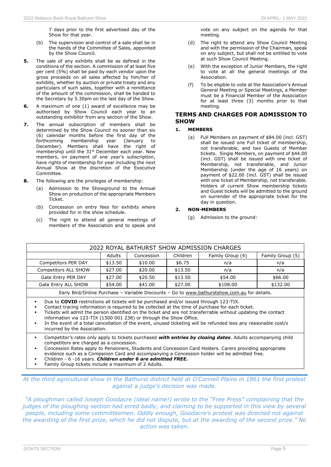- (b) The supervision and control of a sale shall be in the hands of the Committee of Sales, appointed by the Show Council.
- **5.** The sale of any exhibits shall be as defined in the conditions of the section. A commission of at least five per cent (5%) shall be paid by each vendor upon the gross proceeds on all sales affected by him/her of exhibits, whether by auction or private treaty and any particulars of such sales, together with a remittance of the amount of the commission, shall be handed to the Secretary by 5.30pm on the last day of the Show.
- **6.** A maximum of one (1) award of excellence may be authorised by Show Council each year to an outstanding exhibitor from any section of the Show.
- **7.** The annual subscription of members shall be determined by the Show Council no sooner than six (6) calendar months before the first day of the forthcoming membership year (January to December). Members shall have the right of membership until the 31<sup>st</sup> December each year. New members, on payment of one year's subscription, have rights of membership for year including the next Annual Show at the discretion of the Executive Committee.
- **8.** The following are the privileges of membership:
	- (a) Admission to the Showground to the Annual Show on production of the appropriate Members Ticket.
	- (b) Concession on entry fees for exhibits where provided for in the show schedule.
	- (c) The right to attend all general meetings of members of the Association and to speak and
- (d) The right to attend any Show Council Meeting and with the permission of the Chairman, speak on any subject, but shall not be entitled to vote at such Show Council Meeting.
- (e) With the exception of Junior Members, the right to vote at all the general meetings of the Association.
- (f) To be eligible to vote at the Association's Annual General Meeting or Special Meetings, a Member must be a Financial Member of the Association for at least three (3) months prior to that meeting.

#### **TERMS AND CHARGES FOR ADMISSION TO SHOW**

#### **1. MEMBERS**

(a) Full Members on payment of \$84.00 (incl. GST) shall be issued one Full ticket of membership, not transferable, and two Guests of Member tickets. Single Members, on payment of \$44.00 (incl. GST) shall be issued with one ticket of Membership, not transferable, and Junior Membership (under the age of 16 years) on payment of \$22.00 (incl. GST) shall be issued with one ticket of Membership, not transferable. Holders of current Show membership tickets and Guest tickets will be admitted to the ground on surrender of the appropriate ticket for the day in question.

#### **2. NON-MEMBERS**

(g) Admission to the ground:

| 2022 ROYAL BATHURST SHOW ADMISSION CHARGES                                                                                                                                                                                                                                                                                                                                                                                                                                                                                                                                                                                  |         |            |          |                  |                  |
|-----------------------------------------------------------------------------------------------------------------------------------------------------------------------------------------------------------------------------------------------------------------------------------------------------------------------------------------------------------------------------------------------------------------------------------------------------------------------------------------------------------------------------------------------------------------------------------------------------------------------------|---------|------------|----------|------------------|------------------|
|                                                                                                                                                                                                                                                                                                                                                                                                                                                                                                                                                                                                                             | Adults  | Concession | Children | Family Group (4) | Family Group (5) |
| Competitors PER DAY                                                                                                                                                                                                                                                                                                                                                                                                                                                                                                                                                                                                         | \$13.50 | \$10.00    | \$6.75   | n/a              | n/a              |
| Competitors ALL SHOW                                                                                                                                                                                                                                                                                                                                                                                                                                                                                                                                                                                                        | \$27.00 | \$20.00    | \$13.50  | n/a              | n/a              |
| Gate Entry PER DAY                                                                                                                                                                                                                                                                                                                                                                                                                                                                                                                                                                                                          | \$27.00 | \$20.50    | \$13.50  | \$54.00          | \$66.00          |
| Gate Entry ALL SHOW                                                                                                                                                                                                                                                                                                                                                                                                                                                                                                                                                                                                         | \$54.00 | \$41.00    | \$27.00  | \$108.00         | \$132.00         |
| Early Bird/Online Purchase - Variable Discounts - Go to www.bathurstshow.com.au for details.                                                                                                                                                                                                                                                                                                                                                                                                                                                                                                                                |         |            |          |                  |                  |
| Due to <b>COVID</b> restrictions all tickets will be purchased and/or issued through 123-TIX.<br>٠<br>Contact tracing information is required to be collected at the time of purchase for each ticket.<br>٠<br>Tickets will admit the person identified on the ticket and are not transferrable without updating the contact<br>٠<br>information via 123-TIX (1300 001 238) or through the Show Office.<br>In the event of a total cancellation of the event, unused ticketing will be refunded less any reasonable cost/s<br>٠<br>incurred by the Association.                                                             |         |            |          |                  |                  |
| Competitor's rates only apply to tickets purchased <b>with entries by closing dates</b> . Adults accompanying child<br>٠<br>competitors are charged as a concession.<br>Concession Rates apply to Pensioners, Students and Concession Card Holders. Carers providing appropriate<br>٠<br>evidence such as a Companion Card and accompanying a Concession holder will be admitted free.<br>$\alpha$ . The set of the set of the second second and the second second second and set of the second second second second second second second second second second second second second second second second second second seco |         |            |          |                  |                  |

- Children 6 -16 years. *Children under 6 are admitted FREE.*
- Family Group tickets include a maximum of 2 Adults.

*At the third agricultural show in the Bathurst district held at O'Connell Plains in 1861 the first protest against a judge's decision was made.*

*"A ploughman called Joseph Goodacre (ideal name!) wrote to the "Free Press" complaining that the*  judges of the ploughing section had erred badly, and claiming to be supported in this view by several *people, including some committeemen. Oddly enough, Goodacre's protest was directed not against the awarding of the first prize, which he did not dispute, but at the awarding of the second prize." No action was taken.*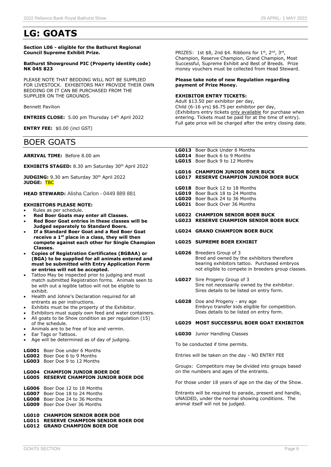### **LG: GOATS**

**Section L06 - eligible for the Bathurst Regional Council Supreme Exhibit Prize.**

#### **Bathurst Showground PIC (Property identity code) NK 045 823**

PLEASE NOTE THAT BEDDING WILL NOT BE SUPPLIED FOR LIVESTOCK. EXHIBITORS MAY PROVIDE THEIR OWN BEDDING OR IT CAN BE PURCHASED FROM THE SUPPLIER ON THE GROUNDS.

Bennett Pavilion

**ENTRIES CLOSE:** 5.00 pm Thursday 14<sup>th</sup> April 2022

**ENTRY FEE:** \$0.00 (incl GST)

### BOER GOATS

**ARRIVAL TIME:** Before 8.00 am

**EXHIBITS STAGED:** 8.30 am Saturday 30<sup>th</sup> April 2022

JUDGING: 9.30 am Saturday 30<sup>th</sup> April 2022 **JUDGE:** TBC

**HEAD STEWARD:** Alisha Carlon - 0449 889 881

#### **EXHIBITORS PLEASE NOTE:**

- Rules as per schedule.
- **Red Boer Goats may enter all Classes.**
- **Red Boer Goat entries in these classes will be Judged separately to Standard Boers.**
- **If a Standard Boer Goat and a Red Boer Goat receive a 1st place in a class, they will then compete against each other for Single Champion Classes.**
- **Copies of Registration Certificates (BGBAA) or (BGA) to be supplied for all animals entered and must be submitted with Entry Application Form or entries will not be accepted.**
- Tattoo May be inspected prior to judging and must match submitted Registration forms. Animals seen to be with out a legible tattoo will not be eligible to exhibit.
- Health and Johne's Declaration required for all entrants as per instructions.
- Exhibits must be the property of the Exhibitor.
- Exhibitors must supply own feed and water containers.
- All goats to be Show condition as per regulation (15) of the schedule.
- Animals are to be free of lice and vermin.
- Ear Tags or Tattoos.
- Age will be determined as of day of judging.
- **LG001** Boer Doe under 6 Months
- **LG002** Boer Doe 6 to 9 Months
- **LG003** Boer Doe 9 to 12 Months

#### **LG004 CHAMPION JUNIOR BOER DOE LG005 RESERVE CHAMPION JUNIOR BOER DOE**

**LG006** Boer Doe 12 to 18 Months **LG007** Boer Doe 18 to 24 Months

- **LG008** Boer Doe 24 to 36 Months
- **LG009** Boer Doe Over 36 Months

**LG010 CHAMPION SENIOR BOER DOE**

**LG011 RESERVE CHAMPION SENIOR BOER DOE LG012 GRAND CHAMPION BOER DOE**

PRIZES: 1st  $$8$ , 2nd  $$4$ . Ribbons for  $1<sup>st</sup>$ ,  $2<sup>nd</sup>$ ,  $3<sup>rd</sup>$ , Champion, Reserve Champion, Grand Champion, Most Successful, Supreme Exhibit and Best of Breeds. Prize money vouchers must be collected from Head Steward.

#### **Please take note of new Regulation regarding payment of Prize Money.**

#### **EXHIBITOR ENTRY TICKETS:**

Adult \$13.50 per exhibitor per day, Child (6-16 yrs) \$6.75 per exhibitor per day, (Exhibitors entry tickets only available for purchase when entering. Tickets must be paid for at the time of entry). Full gate price will be charged after the entry closing date.

**LG013** Boer Buck Under 6 Months **LG014** Boer Buck 6 to 9 Months **LG015** Boer Buck 9 to 12 Months

## **LG016 CHAMPION JUNIOR BOER BUCK**

#### **LG017 RESERVE CHAMPION JUNIOR BOER BUCK**

- **LG018** Boer Buck 12 to 18 Months **LG019** Boer Buck 18 to 24 Months
- **LG020** Boer Buck 24 to 36 Months
- **LG021** Boer Buck Over 36 Months
- **LG022 CHAMPION SENIOR BOER BUCK LG023 RESERVE CHAMPION SENIOR BOER BUCK**
- **LG024 GRAND CHAMPION BOER BUCK**

#### **LG025 SUPREME BOER EXHIBIT**

- **LG026** Breeders Group of 3 Bred and owned by the exhibitors therefore bearing exhibitors tattoo. Purchased embryos not eligible to compete in breeders group classes.
- **LG027** Sire Progeny Group of 3 Sire not necessarily owned by the exhibitor. Sires details to be listed on entry form.
- **LG028** Doe and Progeny any age Embryo transfer kids eligible for competition. Does details to be listed on entry form.

#### **LG029 MOST SUCCESSFUL BOER GOAT EXHIBITOR**

**LG030** Junior Handling Classes

To be conducted if time permits.

Entries will be taken on the day - NO ENTRY FEE

Groups: Competitors may be divided into groups based on the numbers and ages of the entrants.

For those under 18 years of age on the day of the Show.

Entrants will be required to parade, present and handle, UNAIDED, under the normal showing conditions. The animal itself will not be judged.